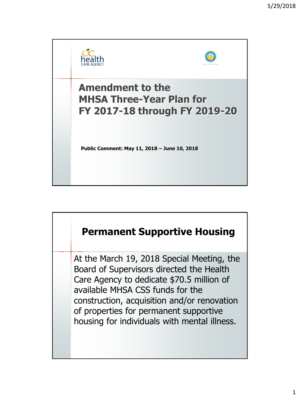